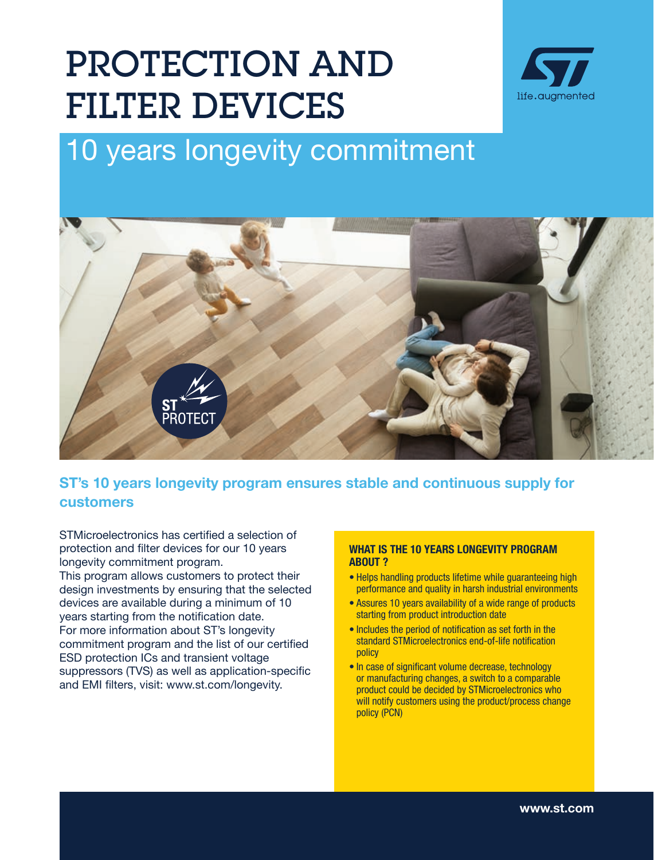## PROTECTION AND FILTER DEVICES



## 10 years longevity commitment



ST's 10 years longevity program ensures stable and continuous supply for customers

STMicroelectronics has certified a selection of protection and filter devices for our 10 years longevity commitment program.

This program allows customers to protect their design investments by ensuring that the selected devices are available during a minimum of 10 years starting from the notification date. For more information about ST's longevity commitment program and the list of our certified ESD protection ICs and transient voltage suppressors (TVS) as well as application-specific and EMI filters, visit: www.st.com/longevity.

## WHAT IS THE 10 YEARS LONGEVITY PROGRAM ABOUT ?

- Helps handling products lifetime while guaranteeing high performance and quality in harsh industrial environments
- Assures 10 years availability of a wide range of products starting from product introduction date
- Includes the period of notification as set forth in the standard STMicroelectronics end-of-life notification policy
- In case of significant volume decrease, technology or manufacturing changes, a switch to a comparable product could be decided by STMicroelectronics who will notify customers using the product/process change policy (PCN)